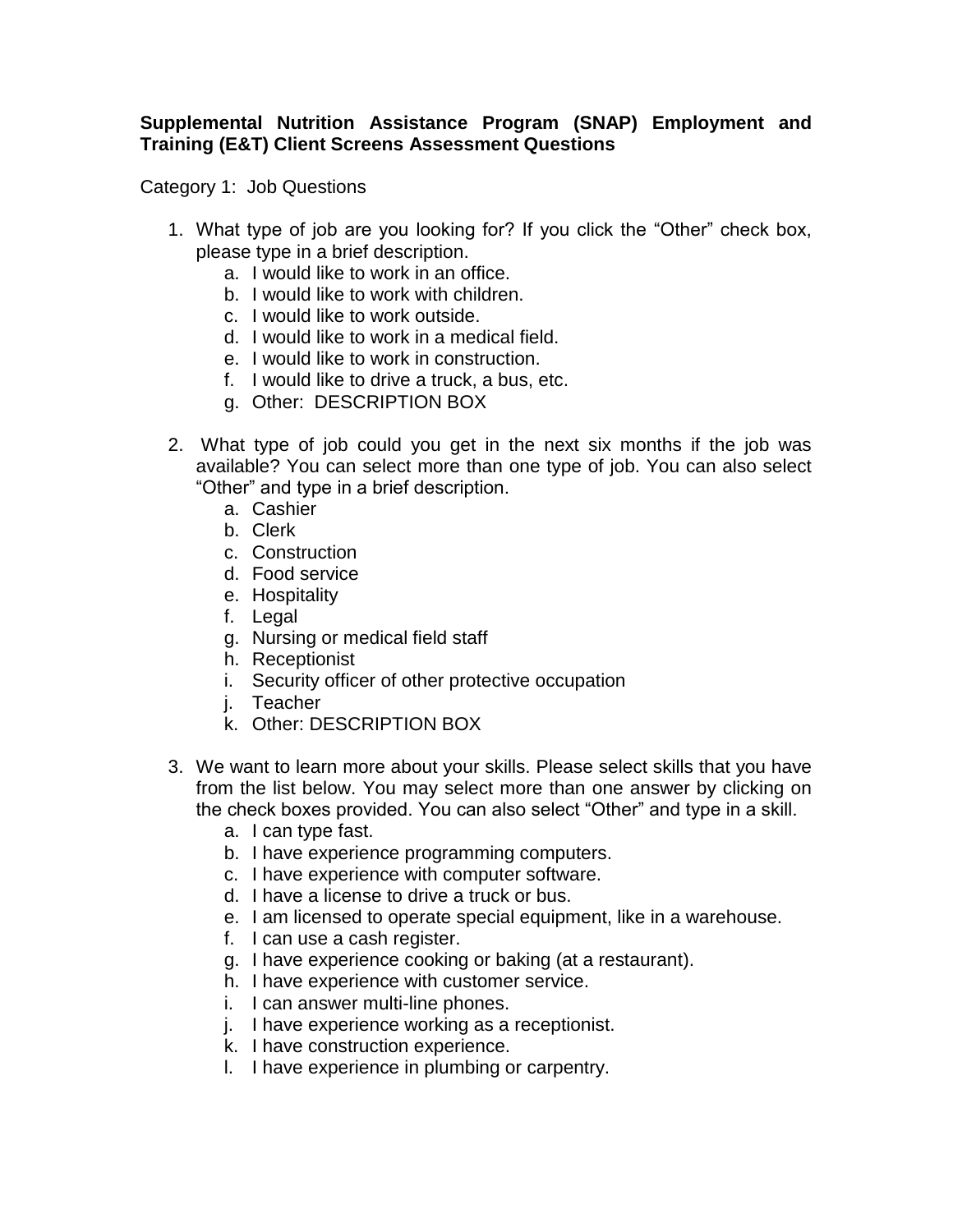## **Supplemental Nutrition Assistance Program (SNAP) Employment and Training (E&T) Client Screens Assessment Questions**

Category 1: Job Questions

- 1. What type of job are you looking for? If you click the "Other" check box, please type in a brief description.
	- a. I would like to work in an office.
	- b. I would like to work with children.
	- c. I would like to work outside.
	- d. I would like to work in a medical field.
	- e. I would like to work in construction.
	- f. I would like to drive a truck, a bus, etc.
	- g. Other: DESCRIPTION BOX
- 2. What type of job could you get in the next six months if the job was available? You can select more than one type of job. You can also select "Other" and type in a brief description.
	- a. Cashier
	- b. Clerk
	- c. Construction
	- d. Food service
	- e. Hospitality
	- f. Legal
	- g. Nursing or medical field staff
	- h. Receptionist
	- i. Security officer of other protective occupation
	- j. Teacher
	- k. Other: DESCRIPTION BOX
- 3. We want to learn more about your skills. Please select skills that you have from the list below. You may select more than one answer by clicking on the check boxes provided. You can also select "Other" and type in a skill.
	- a. I can type fast.
	- b. I have experience programming computers.
	- c. I have experience with computer software.
	- d. I have a license to drive a truck or bus.
	- e. I am licensed to operate special equipment, like in a warehouse.
	- f. I can use a cash register.
	- g. I have experience cooking or baking (at a restaurant).
	- h. I have experience with customer service.
	- i. I can answer multi-line phones.
	- j. I have experience working as a receptionist.
	- k. I have construction experience.
	- l. I have experience in plumbing or carpentry.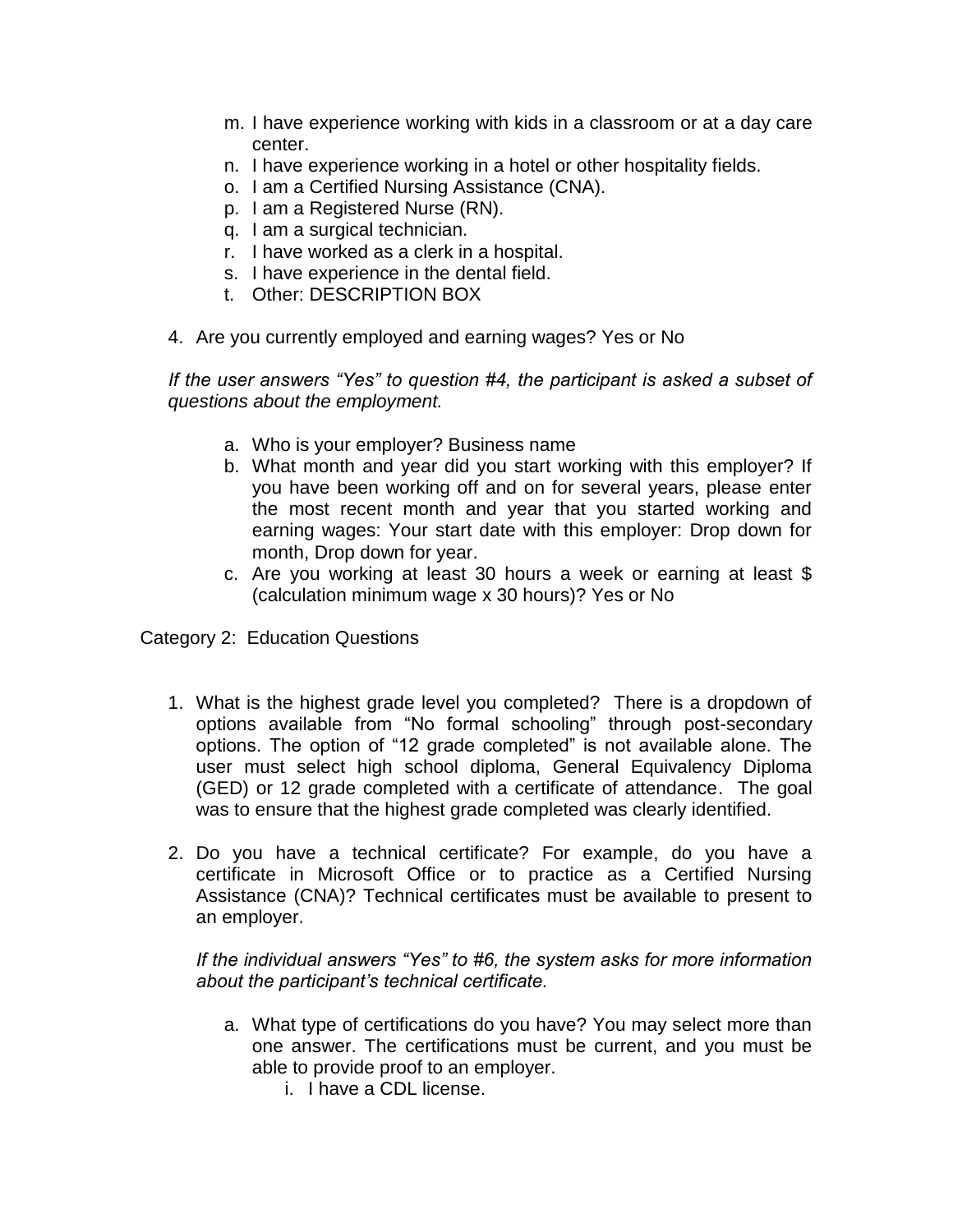- m. I have experience working with kids in a classroom or at a day care center.
- n. I have experience working in a hotel or other hospitality fields.
- o. I am a Certified Nursing Assistance (CNA).
- p. I am a Registered Nurse (RN).
- q. I am a surgical technician.
- r. I have worked as a clerk in a hospital.
- s. I have experience in the dental field.
- t. Other: DESCRIPTION BOX
- 4. Are you currently employed and earning wages? Yes or No

*If the user answers "Yes" to question #4, the participant is asked a subset of questions about the employment.* 

- a. Who is your employer? Business name
- b. What month and year did you start working with this employer? If you have been working off and on for several years, please enter the most recent month and year that you started working and earning wages: Your start date with this employer: Drop down for month, Drop down for year.
- c. Are you working at least 30 hours a week or earning at least \$ (calculation minimum wage x 30 hours)? Yes or No

Category 2: Education Questions

- 1. What is the highest grade level you completed? There is a dropdown of options available from "No formal schooling" through post-secondary options. The option of "12 grade completed" is not available alone. The user must select high school diploma, General Equivalency Diploma (GED) or 12 grade completed with a certificate of attendance. The goal was to ensure that the highest grade completed was clearly identified.
- 2. Do you have a technical certificate? For example, do you have a certificate in Microsoft Office or to practice as a Certified Nursing Assistance (CNA)? Technical certificates must be available to present to an employer.

*If the individual answers "Yes" to #6, the system asks for more information about the participant's technical certificate.* 

- a. What type of certifications do you have? You may select more than one answer. The certifications must be current, and you must be able to provide proof to an employer.
	- i. I have a CDL license.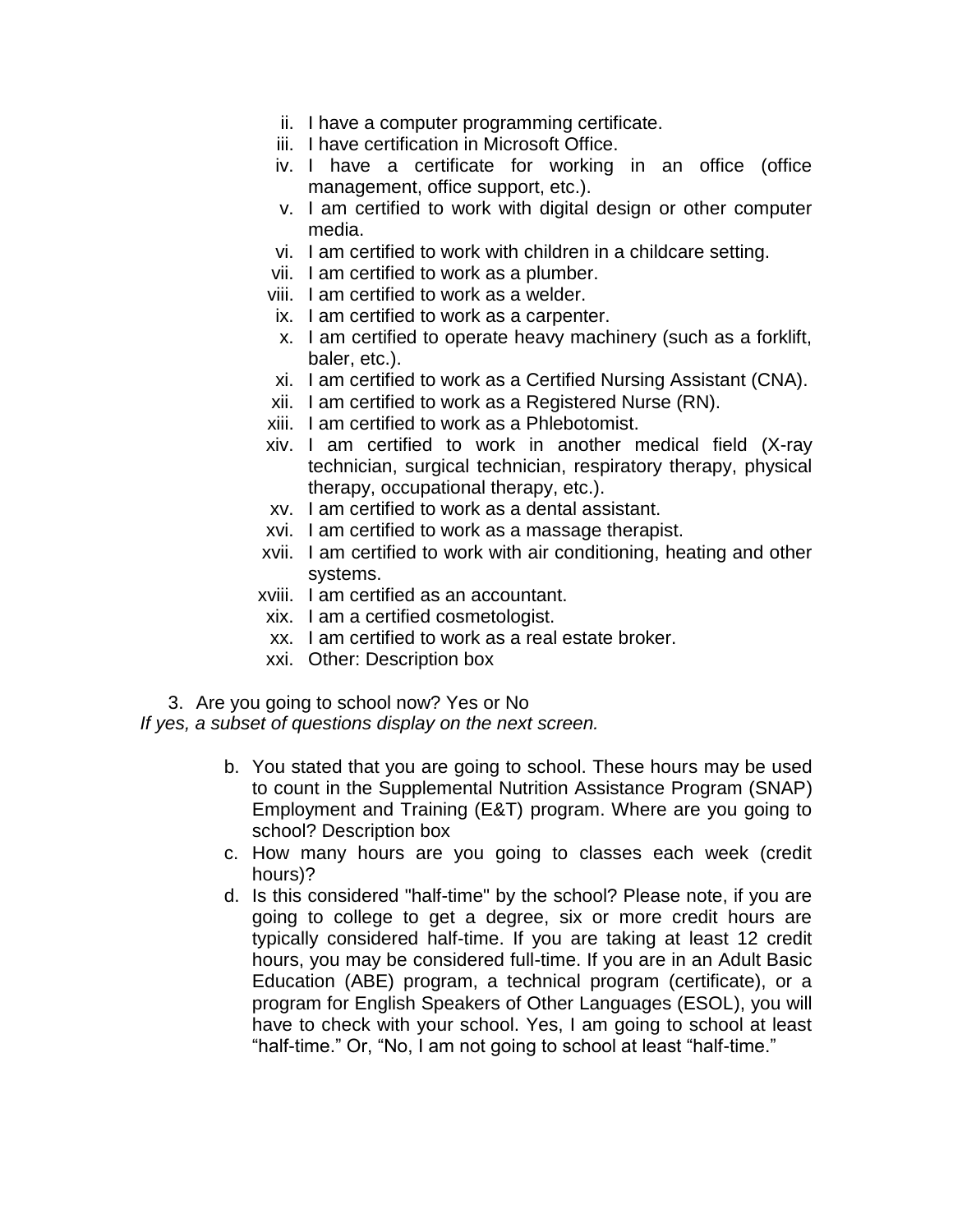- ii. I have a computer programming certificate.
- iii. I have certification in Microsoft Office.
- iv. I have a certificate for working in an office (office management, office support, etc.).
- v. I am certified to work with digital design or other computer media.
- vi. I am certified to work with children in a childcare setting.
- vii. I am certified to work as a plumber.
- viii. I am certified to work as a welder.
- ix. I am certified to work as a carpenter.
- x. I am certified to operate heavy machinery (such as a forklift, baler, etc.).
- xi. I am certified to work as a Certified Nursing Assistant (CNA).
- xii. I am certified to work as a Registered Nurse (RN).
- xiii. I am certified to work as a Phlebotomist.
- xiv. I am certified to work in another medical field (X-ray technician, surgical technician, respiratory therapy, physical therapy, occupational therapy, etc.).
- xv. I am certified to work as a dental assistant.
- xvi. I am certified to work as a massage therapist.
- xvii. I am certified to work with air conditioning, heating and other systems.
- xviii. I am certified as an accountant.
- xix. I am a certified cosmetologist.
- xx. I am certified to work as a real estate broker.
- xxi. Other: Description box
- 3. Are you going to school now? Yes or No

*If yes, a subset of questions display on the next screen.*

- b. You stated that you are going to school. These hours may be used to count in the Supplemental Nutrition Assistance Program (SNAP) Employment and Training (E&T) program. Where are you going to school? Description box
- c. How many hours are you going to classes each week (credit hours)?
- d. Is this considered "half-time" by the school? Please note, if you are going to college to get a degree, six or more credit hours are typically considered half-time. If you are taking at least 12 credit hours, you may be considered full-time. If you are in an Adult Basic Education (ABE) program, a technical program (certificate), or a program for English Speakers of Other Languages (ESOL), you will have to check with your school. Yes, I am going to school at least "half-time." Or, "No, I am not going to school at least "half-time."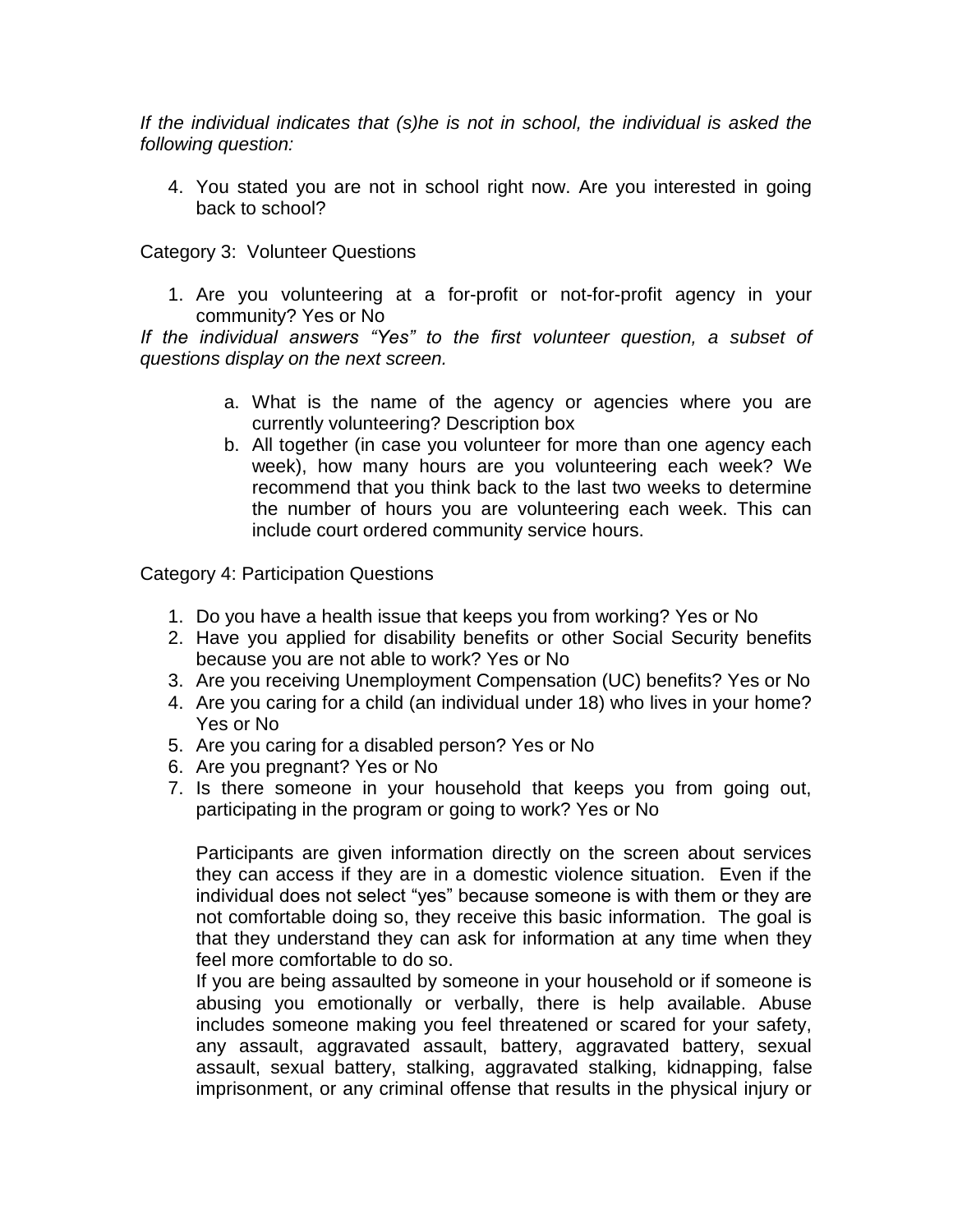*If the individual indicates that (s)he is not in school, the individual is asked the following question:*

4. You stated you are not in school right now. Are you interested in going back to school?

Category 3: Volunteer Questions

1. Are you volunteering at a for-profit or not-for-profit agency in your community? Yes or No

*If the individual answers "Yes" to the first volunteer question, a subset of questions display on the next screen.*

- a. What is the name of the agency or agencies where you are currently volunteering? Description box
- b. All together (in case you volunteer for more than one agency each week), how many hours are you volunteering each week? We recommend that you think back to the last two weeks to determine the number of hours you are volunteering each week. This can include court ordered community service hours.

Category 4: Participation Questions

- 1. Do you have a health issue that keeps you from working? Yes or No
- 2. Have you applied for disability benefits or other Social Security benefits because you are not able to work? Yes or No
- 3. Are you receiving Unemployment Compensation (UC) benefits? Yes or No
- 4. Are you caring for a child (an individual under 18) who lives in your home? Yes or No
- 5. Are you caring for a disabled person? Yes or No
- 6. Are you pregnant? Yes or No
- 7. Is there someone in your household that keeps you from going out, participating in the program or going to work? Yes or No

Participants are given information directly on the screen about services they can access if they are in a domestic violence situation. Even if the individual does not select "yes" because someone is with them or they are not comfortable doing so, they receive this basic information. The goal is that they understand they can ask for information at any time when they feel more comfortable to do so.

If you are being assaulted by someone in your household or if someone is abusing you emotionally or verbally, there is help available. Abuse includes someone making you feel threatened or scared for your safety, any assault, aggravated assault, battery, aggravated battery, sexual assault, sexual battery, stalking, aggravated stalking, kidnapping, false imprisonment, or any criminal offense that results in the physical injury or